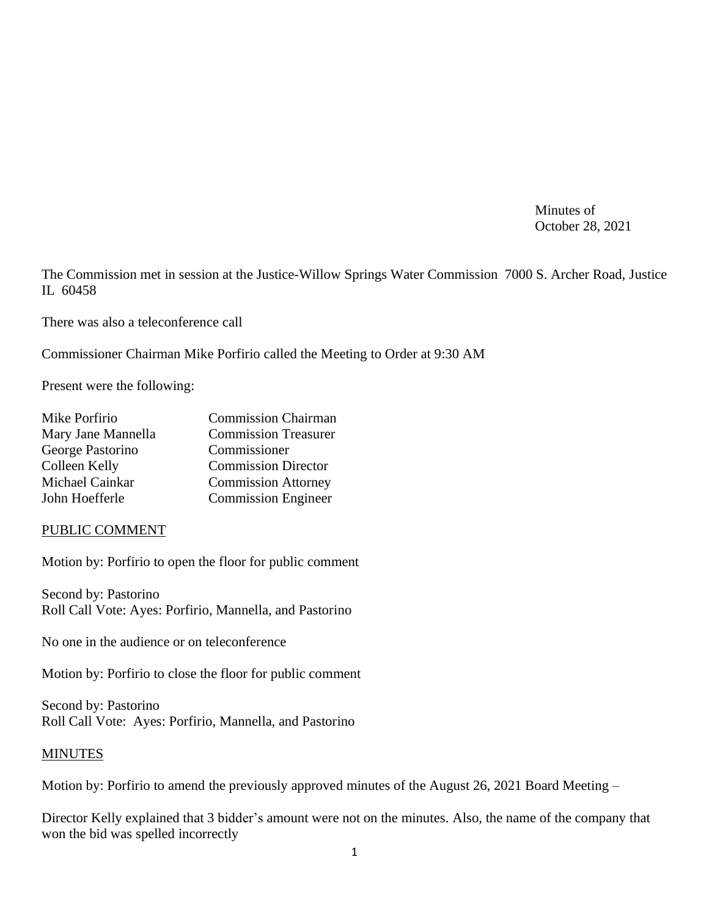Minutes of October 28, 2021

The Commission met in session at the Justice-Willow Springs Water Commission 7000 S. Archer Road, Justice IL 60458

There was also a teleconference call

Commissioner Chairman Mike Porfirio called the Meeting to Order at 9:30 AM

Present were the following:

| Mike Porfirio      | <b>Commission Chairman</b>  |
|--------------------|-----------------------------|
| Mary Jane Mannella | <b>Commission Treasurer</b> |
| George Pastorino   | Commissioner                |
| Colleen Kelly      | <b>Commission Director</b>  |
| Michael Cainkar    | <b>Commission Attorney</b>  |
| John Hoefferle     | <b>Commission Engineer</b>  |

#### PUBLIC COMMENT

Motion by: Porfirio to open the floor for public comment

Second by: Pastorino Roll Call Vote: Ayes: Porfirio, Mannella, and Pastorino

No one in the audience or on teleconference

Motion by: Porfirio to close the floor for public comment

Second by: Pastorino Roll Call Vote: Ayes: Porfirio, Mannella, and Pastorino

#### MINUTES

Motion by: Porfirio to amend the previously approved minutes of the August 26, 2021 Board Meeting –

Director Kelly explained that 3 bidder's amount were not on the minutes. Also, the name of the company that won the bid was spelled incorrectly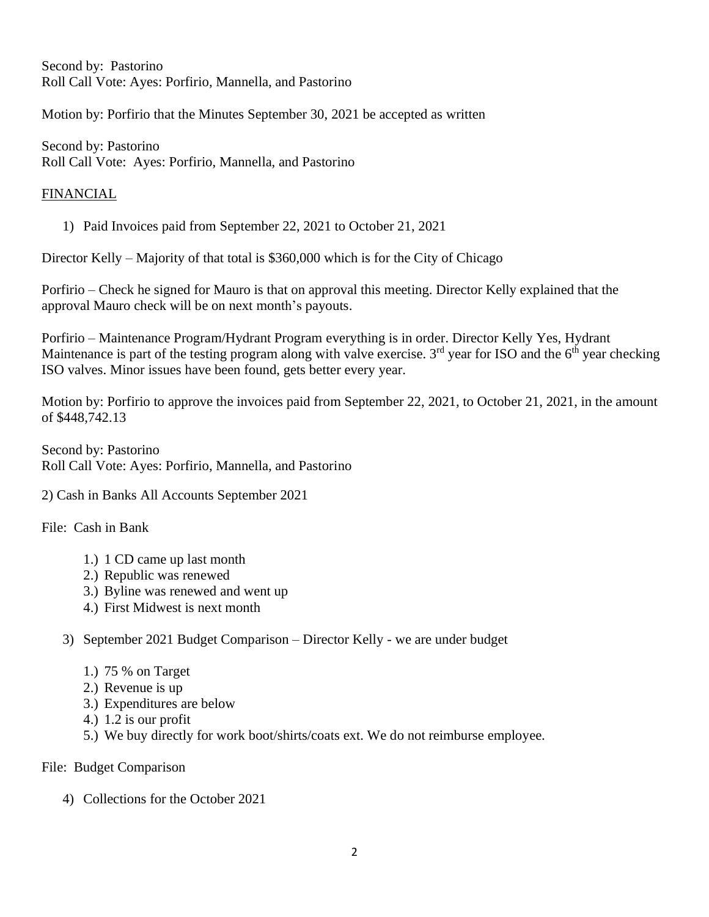Second by: Pastorino Roll Call Vote: Ayes: Porfirio, Mannella, and Pastorino

Motion by: Porfirio that the Minutes September 30, 2021 be accepted as written

Second by: Pastorino Roll Call Vote: Ayes: Porfirio, Mannella, and Pastorino

# FINANCIAL

1) Paid Invoices paid from September 22, 2021 to October 21, 2021

Director Kelly – Majority of that total is \$360,000 which is for the City of Chicago

Porfirio – Check he signed for Mauro is that on approval this meeting. Director Kelly explained that the approval Mauro check will be on next month's payouts.

Porfirio – Maintenance Program/Hydrant Program everything is in order. Director Kelly Yes, Hydrant Maintenance is part of the testing program along with valve exercise. 3<sup>rd</sup> year for ISO and the 6<sup>th</sup> year checking ISO valves. Minor issues have been found, gets better every year.

Motion by: Porfirio to approve the invoices paid from September 22, 2021, to October 21, 2021, in the amount of \$448,742.13

Second by: Pastorino Roll Call Vote: Ayes: Porfirio, Mannella, and Pastorino

2) Cash in Banks All Accounts September 2021

File: Cash in Bank

- 1.) 1 CD came up last month
- 2.) Republic was renewed
- 3.) Byline was renewed and went up
- 4.) First Midwest is next month
- 3) September 2021 Budget Comparison Director Kelly we are under budget
	- 1.) 75 % on Target
	- 2.) Revenue is up
	- 3.) Expenditures are below
	- 4.) 1.2 is our profit
	- 5.) We buy directly for work boot/shirts/coats ext. We do not reimburse employee.

File: Budget Comparison

4) Collections for the October 2021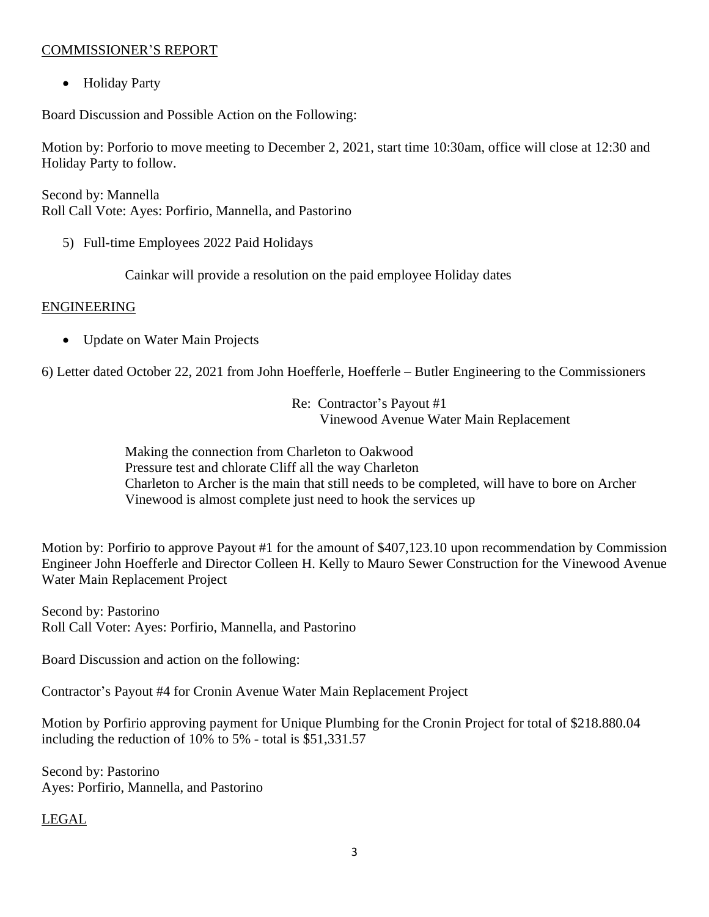# COMMISSIONER'S REPORT

• Holiday Party

Board Discussion and Possible Action on the Following:

Motion by: Porforio to move meeting to December 2, 2021, start time 10:30am, office will close at 12:30 and Holiday Party to follow.

Second by: Mannella Roll Call Vote: Ayes: Porfirio, Mannella, and Pastorino

5) Full-time Employees 2022 Paid Holidays

Cainkar will provide a resolution on the paid employee Holiday dates

#### ENGINEERING

• Update on Water Main Projects

6) Letter dated October 22, 2021 from John Hoefferle, Hoefferle – Butler Engineering to the Commissioners

Re: Contractor's Payout #1 Vinewood Avenue Water Main Replacement

Making the connection from Charleton to Oakwood Pressure test and chlorate Cliff all the way Charleton Charleton to Archer is the main that still needs to be completed, will have to bore on Archer Vinewood is almost complete just need to hook the services up

Motion by: Porfirio to approve Payout #1 for the amount of \$407,123.10 upon recommendation by Commission Engineer John Hoefferle and Director Colleen H. Kelly to Mauro Sewer Construction for the Vinewood Avenue Water Main Replacement Project

Second by: Pastorino Roll Call Voter: Ayes: Porfirio, Mannella, and Pastorino

Board Discussion and action on the following:

Contractor's Payout #4 for Cronin Avenue Water Main Replacement Project

Motion by Porfirio approving payment for Unique Plumbing for the Cronin Project for total of \$218.880.04 including the reduction of 10% to 5% - total is \$51,331.57

Second by: Pastorino Ayes: Porfirio, Mannella, and Pastorino

LEGAL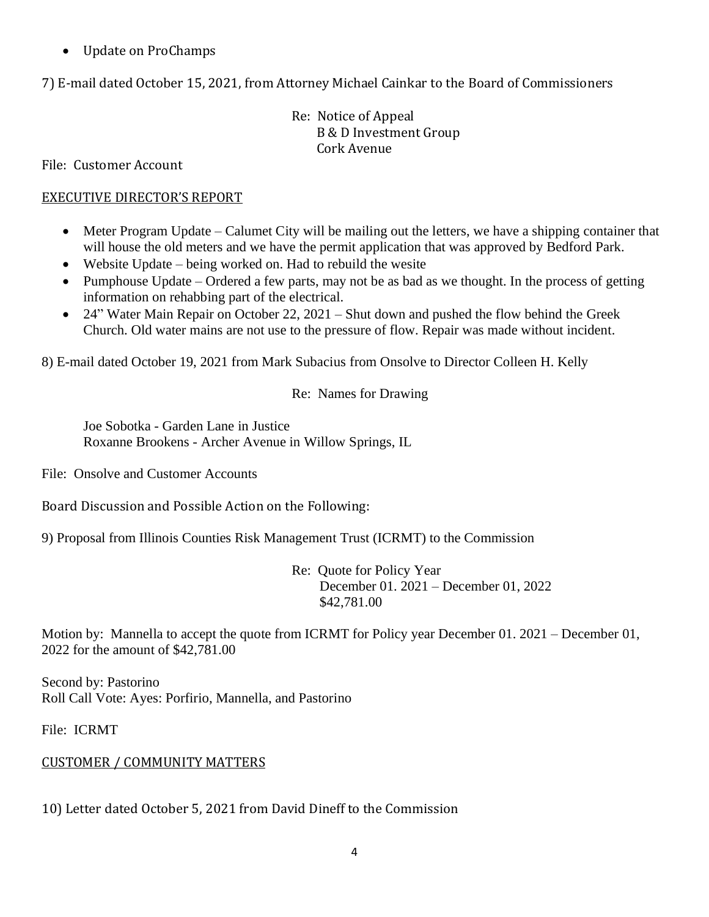• Update on ProChamps

7) E-mail dated October 15, 2021, from Attorney Michael Cainkar to the Board of Commissioners

Re: Notice of Appeal B & D Investment Group Cork Avenue

File: Customer Account

# EXECUTIVE DIRECTOR'S REPORT

- Meter Program Update Calumet City will be mailing out the letters, we have a shipping container that will house the old meters and we have the permit application that was approved by Bedford Park.
- Website Update being worked on. Had to rebuild the wesite
- Pumphouse Update Ordered a few parts, may not be as bad as we thought. In the process of getting information on rehabbing part of the electrical.
- 24" Water Main Repair on October 22, 2021 Shut down and pushed the flow behind the Greek Church. Old water mains are not use to the pressure of flow. Repair was made without incident.

8) E-mail dated October 19, 2021 from Mark Subacius from Onsolve to Director Colleen H. Kelly

Re: Names for Drawing

Joe Sobotka - Garden Lane in Justice Roxanne Brookens - Archer Avenue in Willow Springs, IL

File: Onsolve and Customer Accounts

Board Discussion and Possible Action on the Following:

9) Proposal from Illinois Counties Risk Management Trust (ICRMT) to the Commission

Re: Quote for Policy Year December 01. 2021 – December 01, 2022 \$42,781.00

Motion by: Mannella to accept the quote from ICRMT for Policy year December 01. 2021 – December 01, 2022 for the amount of \$42,781.00

Second by: Pastorino Roll Call Vote: Ayes: Porfirio, Mannella, and Pastorino

File: ICRMT

# CUSTOMER / COMMUNITY MATTERS

10) Letter dated October 5, 2021 from David Dineff to the Commission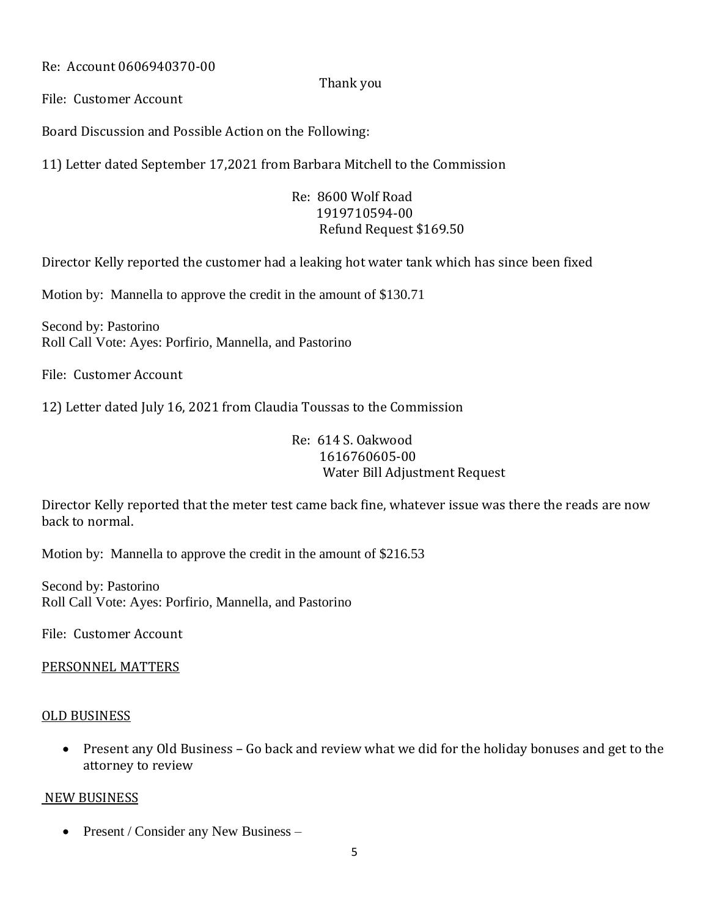Re: Account 0606940370-00

## Thank you

File: Customer Account

Board Discussion and Possible Action on the Following:

11) Letter dated September 17,2021 from Barbara Mitchell to the Commission

Re: 8600 Wolf Road 1919710594-00 Refund Request \$169.50

Director Kelly reported the customer had a leaking hot water tank which has since been fixed

Motion by: Mannella to approve the credit in the amount of \$130.71

Second by: Pastorino Roll Call Vote: Ayes: Porfirio, Mannella, and Pastorino

File: Customer Account

12) Letter dated July 16, 2021 from Claudia Toussas to the Commission

# Re: 614 S. Oakwood 1616760605-00 Water Bill Adjustment Request

Director Kelly reported that the meter test came back fine, whatever issue was there the reads are now back to normal.

Motion by: Mannella to approve the credit in the amount of \$216.53

Second by: Pastorino Roll Call Vote: Ayes: Porfirio, Mannella, and Pastorino

File: Customer Account

# PERSONNEL MATTERS

#### OLD BUSINESS

• Present any Old Business – Go back and review what we did for the holiday bonuses and get to the attorney to review

#### NEW BUSINESS

• Present / Consider any New Business –